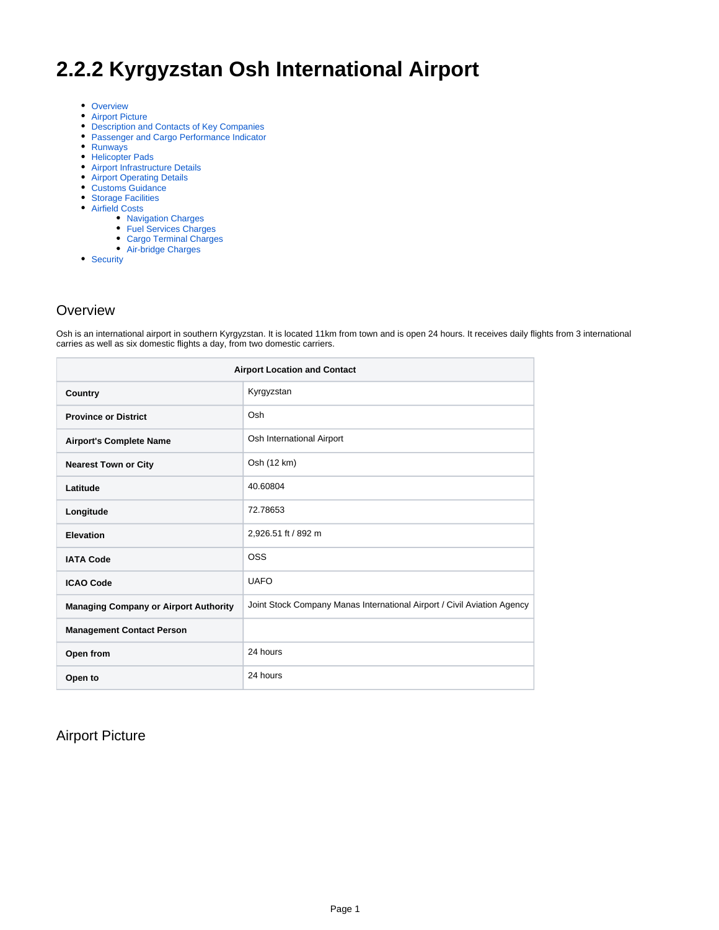# **2.2.2 Kyrgyzstan Osh International Airport**

- [Overview](#page-0-0)
- [Airport Picture](#page-0-1)
- [Description and Contacts of Key Companies](#page-1-0)
- [Passenger and Cargo Performance Indicator](#page-1-1)
- [Runways](#page-1-2)
- [Helicopter Pads](#page-2-0)
- [Airport Infrastructure Details](#page-2-1) • [Airport Operating Details](#page-2-2)
- 
- [Customs Guidance](#page-2-3) • [Storage Facilities](#page-3-0)
- [Airfield Costs](#page-3-1)
	- [Navigation Charges](#page-3-2)
	- [Fuel Services Charges](#page-4-0)
	- [Cargo Terminal Charges](#page-4-1)
	- [Air-bridge Charges](#page-4-2)
- [Security](#page-4-3)

#### <span id="page-0-0"></span>**Overview**

Osh is an international airport in southern Kyrgyzstan. It is located 11km from town and is open 24 hours. It receives daily flights from 3 international carries as well as six domestic flights a day, from two domestic carriers.

| <b>Airport Location and Contact</b>          |                                                                         |  |
|----------------------------------------------|-------------------------------------------------------------------------|--|
| Country                                      | Kyrgyzstan                                                              |  |
| <b>Province or District</b>                  | Osh                                                                     |  |
| <b>Airport's Complete Name</b>               | Osh International Airport                                               |  |
| <b>Nearest Town or City</b>                  | Osh (12 km)                                                             |  |
| Latitude                                     | 40.60804                                                                |  |
| Longitude                                    | 72.78653                                                                |  |
| Elevation                                    | 2,926.51 ft / 892 m                                                     |  |
| <b>IATA Code</b>                             | <b>OSS</b>                                                              |  |
| <b>ICAO Code</b>                             | <b>UAFO</b>                                                             |  |
| <b>Managing Company or Airport Authority</b> | Joint Stock Company Manas International Airport / Civil Aviation Agency |  |
| <b>Management Contact Person</b>             |                                                                         |  |
| Open from                                    | 24 hours                                                                |  |
| Open to                                      | 24 hours                                                                |  |

## <span id="page-0-1"></span>Airport Picture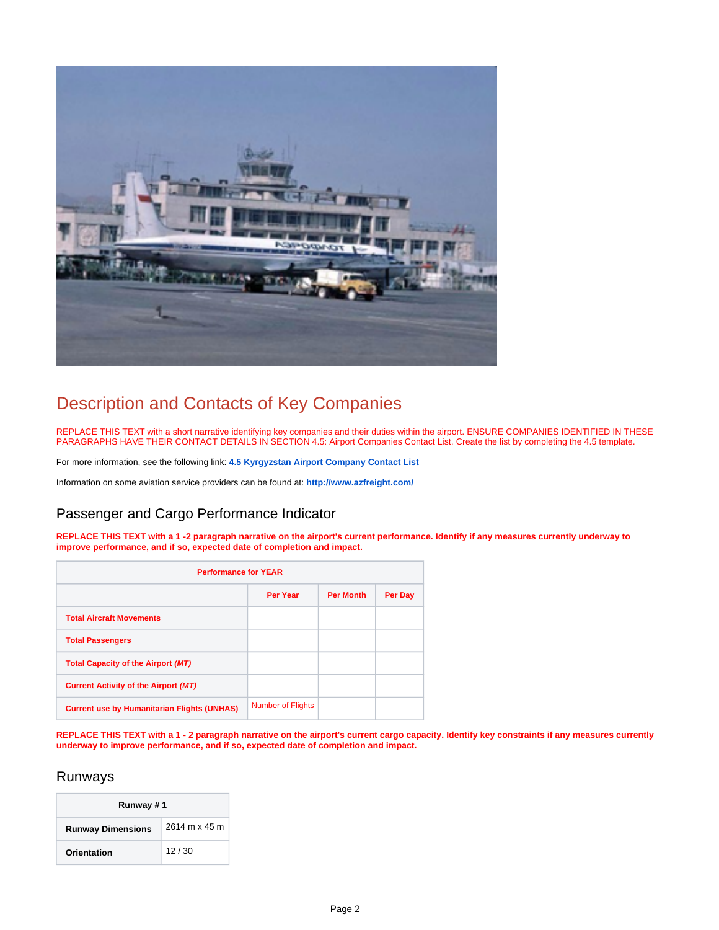

## <span id="page-1-0"></span>Description and Contacts of Key Companies

REPLACE THIS TEXT with a short narrative identifying key companies and their duties within the airport. ENSURE COMPANIES IDENTIFIED IN THESE PARAGRAPHS HAVE THEIR CONTACT DETAILS IN SECTION 4.5: Airport Companies Contact List. Create the list by completing the 4.5 template.

For more information, see the following link: **[4.5 Kyrgyzstan Airport Company Contact List](https://dlca.logcluster.org/display/DLCA/4.5+Kyrgyzstan+Airport+Company+Contact+List)**

Information on some aviation service providers can be found at: **<http://www.azfreight.com/>**

## <span id="page-1-1"></span>Passenger and Cargo Performance Indicator

**REPLACE THIS TEXT with a 1 -2 paragraph narrative on the airport's current performance. Identify if any measures currently underway to improve performance, and if so, expected date of completion and impact.** 

| <b>Performance for YEAR</b>                        |                          |                  |         |
|----------------------------------------------------|--------------------------|------------------|---------|
|                                                    |                          |                  |         |
|                                                    | Per Year                 | <b>Per Month</b> | Per Day |
| <b>Total Aircraft Movements</b>                    |                          |                  |         |
| <b>Total Passengers</b>                            |                          |                  |         |
| <b>Total Capacity of the Airport (MT)</b>          |                          |                  |         |
| <b>Current Activity of the Airport (MT)</b>        |                          |                  |         |
| <b>Current use by Humanitarian Flights (UNHAS)</b> | <b>Number of Flights</b> |                  |         |

**REPLACE THIS TEXT with a 1 - 2 paragraph narrative on the airport's current cargo capacity. Identify key constraints if any measures currently underway to improve performance, and if so, expected date of completion and impact.** 

#### <span id="page-1-2"></span>Runways

| Runway #1                |               |
|--------------------------|---------------|
| <b>Runway Dimensions</b> | 2614 m x 45 m |
| Orientation              | 12/30         |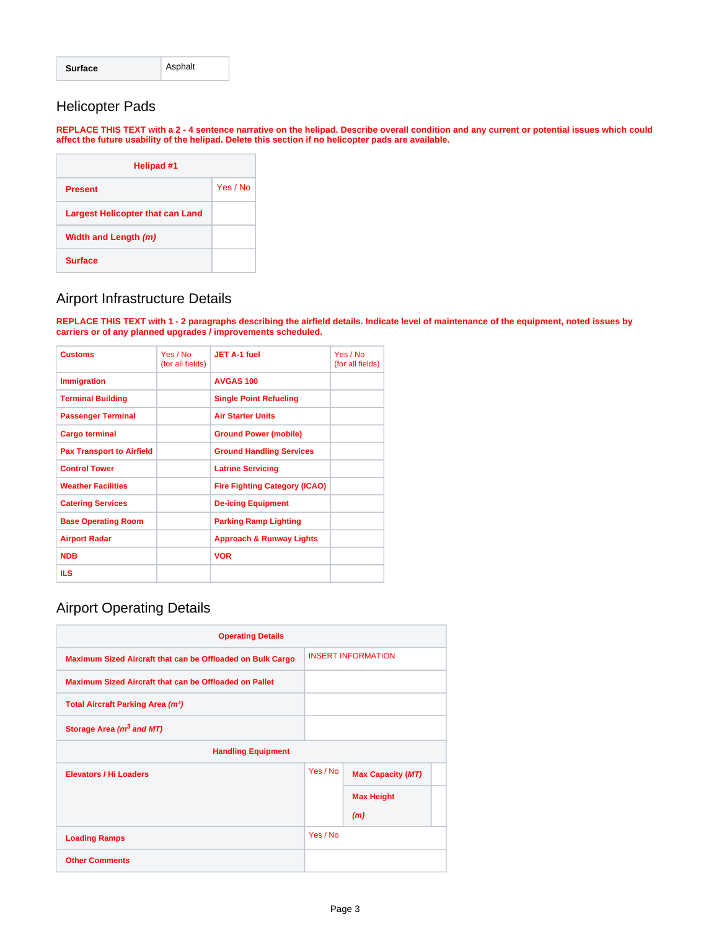| <b>Surface</b> | Asphalt |
|----------------|---------|
|----------------|---------|

## <span id="page-2-0"></span>Helicopter Pads

**REPLACE THIS TEXT with a 2 - 4 sentence narrative on the helipad. Describe overall condition and any current or potential issues which could affect the future usability of the helipad. Delete this section if no helicopter pads are available.** 

| Helipad #1                              |          |
|-----------------------------------------|----------|
| <b>Present</b>                          | Yes / No |
| <b>Largest Helicopter that can Land</b> |          |
| Width and Length (m)                    |          |
| <b>Surface</b>                          |          |

#### <span id="page-2-1"></span>Airport Infrastructure Details

**REPLACE THIS TEXT with 1 - 2 paragraphs describing the airfield details. Indicate level of maintenance of the equipment, noted issues by carriers or of any planned upgrades / improvements scheduled.** 

| <b>Customs</b>                   | Yes / No<br>(for all fields) | JET A-1 fuel                         | Yes / No<br>(for all fields) |
|----------------------------------|------------------------------|--------------------------------------|------------------------------|
| <b>Immigration</b>               |                              | <b>AVGAS 100</b>                     |                              |
| <b>Terminal Building</b>         |                              | <b>Single Point Refueling</b>        |                              |
| <b>Passenger Terminal</b>        |                              | <b>Air Starter Units</b>             |                              |
| <b>Cargo terminal</b>            |                              | <b>Ground Power (mobile)</b>         |                              |
| <b>Pax Transport to Airfield</b> |                              | <b>Ground Handling Services</b>      |                              |
| <b>Control Tower</b>             |                              | <b>Latrine Servicing</b>             |                              |
| <b>Weather Facilities</b>        |                              | <b>Fire Fighting Category (ICAO)</b> |                              |
| <b>Catering Services</b>         |                              | <b>De-icing Equipment</b>            |                              |
| <b>Base Operating Room</b>       |                              | <b>Parking Ramp Lighting</b>         |                              |
| <b>Airport Radar</b>             |                              | <b>Approach &amp; Runway Lights</b>  |                              |
| <b>NDB</b>                       |                              | <b>VOR</b>                           |                              |
| <b>ILS</b>                       |                              |                                      |                              |

## <span id="page-2-2"></span>Airport Operating Details

<span id="page-2-3"></span>

| <b>Operating Details</b>                                   |          |                           |  |
|------------------------------------------------------------|----------|---------------------------|--|
| Maximum Sized Aircraft that can be Offloaded on Bulk Cargo |          | <b>INSERT INFORMATION</b> |  |
| Maximum Sized Aircraft that can be Offloaded on Pallet     |          |                           |  |
| Total Aircraft Parking Area (m <sup>2</sup> )              |          |                           |  |
| Storage Area (m <sup>3</sup> and MT)                       |          |                           |  |
| <b>Handling Equipment</b>                                  |          |                           |  |
| <b>Elevators / Hi Loaders</b>                              | Yes / No | <b>Max Capacity (MT)</b>  |  |
|                                                            |          | <b>Max Height</b>         |  |
|                                                            |          | (m)                       |  |
| <b>Loading Ramps</b>                                       | Yes / No |                           |  |
| <b>Other Comments</b>                                      |          |                           |  |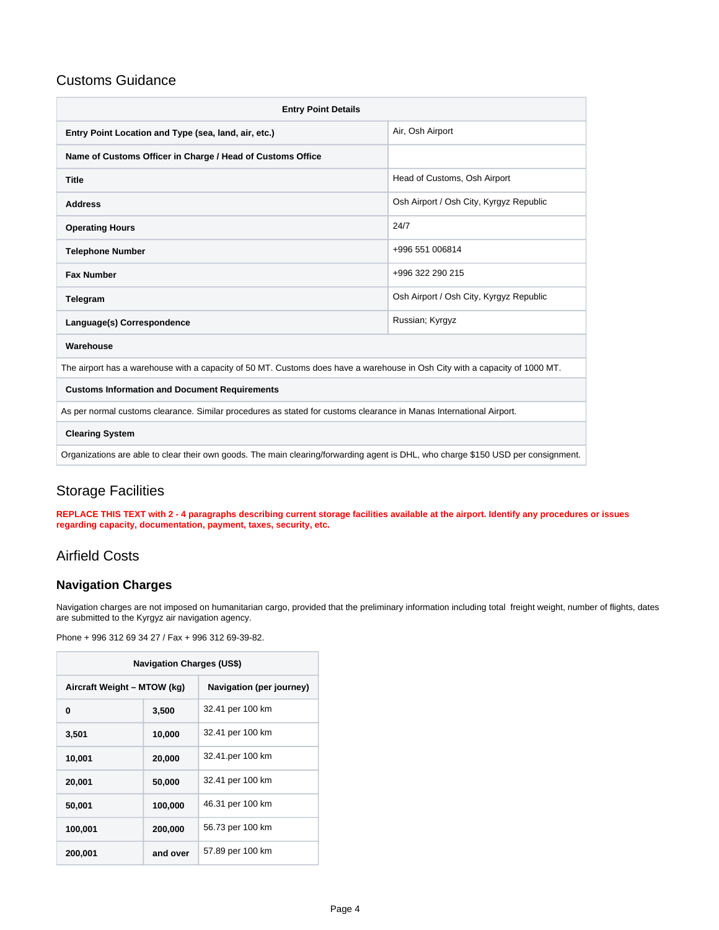#### Customs Guidance

| <b>Entry Point Details</b>                                                                                                        |                                         |  |  |
|-----------------------------------------------------------------------------------------------------------------------------------|-----------------------------------------|--|--|
| Entry Point Location and Type (sea, land, air, etc.)                                                                              | Air, Osh Airport                        |  |  |
| Name of Customs Officer in Charge / Head of Customs Office                                                                        |                                         |  |  |
| <b>Title</b>                                                                                                                      | Head of Customs, Osh Airport            |  |  |
| <b>Address</b>                                                                                                                    | Osh Airport / Osh City, Kyrgyz Republic |  |  |
| <b>Operating Hours</b>                                                                                                            | 24/7                                    |  |  |
| <b>Telephone Number</b>                                                                                                           | +996 551 006814                         |  |  |
| <b>Fax Number</b>                                                                                                                 | +996 322 290 215                        |  |  |
| Telegram                                                                                                                          | Osh Airport / Osh City, Kyrgyz Republic |  |  |
| Language(s) Correspondence                                                                                                        | Russian; Kyrgyz                         |  |  |
| Warehouse                                                                                                                         |                                         |  |  |
| The airport has a warehouse with a capacity of 50 MT. Customs does have a warehouse in Osh City with a capacity of 1000 MT.       |                                         |  |  |
| <b>Customs Information and Document Requirements</b>                                                                              |                                         |  |  |
| As per normal customs clearance. Similar procedures as stated for customs clearance in Manas International Airport.               |                                         |  |  |
| <b>Clearing System</b>                                                                                                            |                                         |  |  |
| Organizations are able to clear their own goods. The main clearing/forwarding agent is DHL, who charge \$150 USD per consignment. |                                         |  |  |

## <span id="page-3-0"></span>Storage Facilities

**REPLACE THIS TEXT with 2 - 4 paragraphs describing current storage facilities available at the airport. Identify any procedures or issues regarding capacity, documentation, payment, taxes, security, etc.**

## <span id="page-3-1"></span>Airfield Costs

#### <span id="page-3-2"></span>**Navigation Charges**

Navigation charges are not imposed on humanitarian cargo, provided that the preliminary information including total freight weight, number of flights, dates are submitted to the Kyrgyz air navigation agency.

Phone + 996 312 69 34 27 / Fax + 996 312 69-39-82.

| <b>Navigation Charges (US\$)</b> |          |                          |
|----------------------------------|----------|--------------------------|
| Aircraft Weight - MTOW (kg)      |          | Navigation (per journey) |
| 0                                | 3,500    | 32.41 per 100 km         |
| 3,501                            | 10,000   | 32.41 per 100 km         |
| 10,001                           | 20,000   | 32.41.per 100 km         |
| 20,001                           | 50,000   | 32.41 per 100 km         |
| 50,001                           | 100,000  | 46.31 per 100 km         |
| 100,001                          | 200,000  | 56.73 per 100 km         |
| 200,001                          | and over | 57.89 per 100 km         |